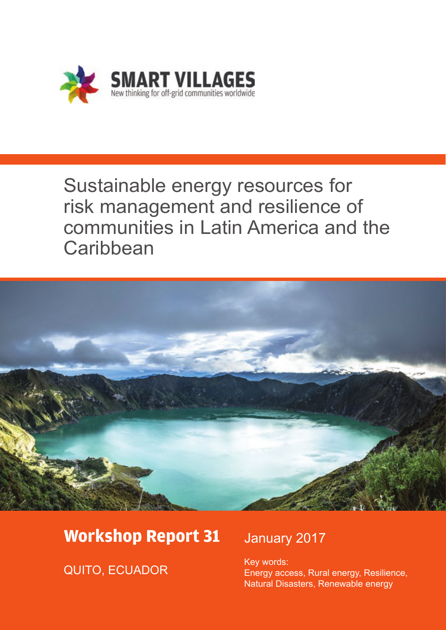

# Sustainable energy resources for risk management and resilience of communities in Latin America and the **Caribbean**



# **Workshop Report 31**

QUITO, ECUADOR

# January 2017

Key words: Energy access, Rural energy, Resilience, Natural Disasters, Renewable energy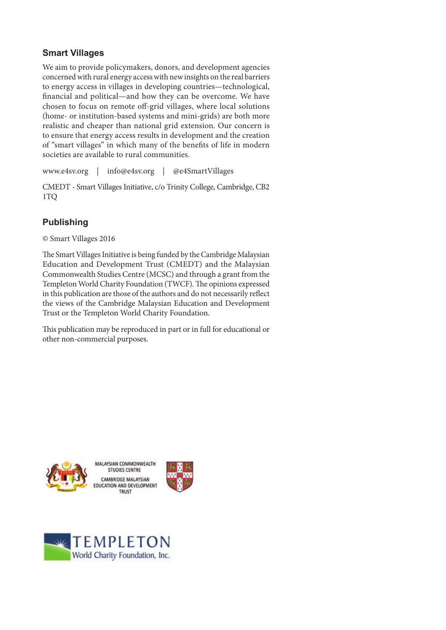#### **Smart Villages**

We aim to provide policymakers, donors, and development agencies concerned with rural energy access with new insights on the real barriers to energy access in villages in developing countries—technological, financial and political—and how they can be overcome. We have chosen to focus on remote off-grid villages, where local solutions (home- or institution-based systems and mini-grids) are both more realistic and cheaper than national grid extension. Our concern is to ensure that energy access results in development and the creation of "smart villages" in which many of the benefits of life in modern societies are available to rural communities.

www.e4sv.org | info@e4sv.org | @e4SmartVillages

CMEDT - Smart Villages Initiative, c/o Trinity College, Cambridge, CB2 1TQ

## **Publishing**

© Smart Villages 2016

The Smart Villages Initiative is being funded by the Cambridge Malaysian Education and Development Trust (CMEDT) and the Malaysian Commonwealth Studies Centre (MCSC) and through a grant from the Templeton World Charity Foundation (TWCF). The opinions expressed in this publication are those of the authors and do not necessarily reflect the views of the Cambridge Malaysian Education and Development Trust or the Templeton World Charity Foundation.

This publication may be reproduced in part or in full for educational or other non-commercial purposes.



MALAYSIAN COMMONWEALTH STUDIES CENTRE CAMBRIDGE MALAYSIAN EDUCATION AND DEVELOPMENT TRUST



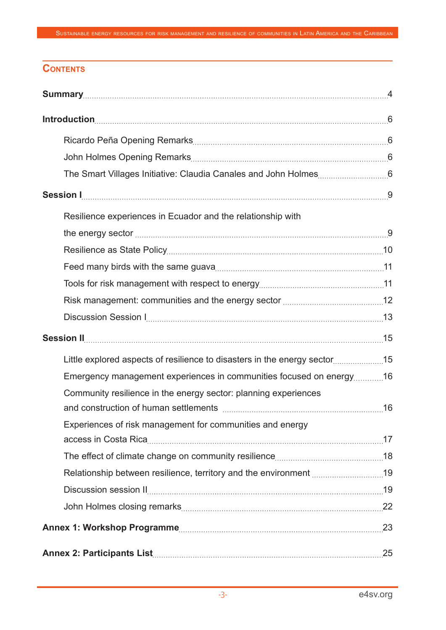## **Contents**

| Resilience experiences in Ecuador and the relationship with               |  |
|---------------------------------------------------------------------------|--|
|                                                                           |  |
|                                                                           |  |
|                                                                           |  |
|                                                                           |  |
|                                                                           |  |
|                                                                           |  |
|                                                                           |  |
| Little explored aspects of resilience to disasters in the energy sector15 |  |
| Emergency management experiences in communities focused on energy16       |  |
| Community resilience in the energy sector: planning experiences           |  |
|                                                                           |  |
| Experiences of risk management for communities and energy                 |  |
|                                                                           |  |
|                                                                           |  |
| Relationship between resilience, territory and the environment 19         |  |
|                                                                           |  |
|                                                                           |  |
|                                                                           |  |
|                                                                           |  |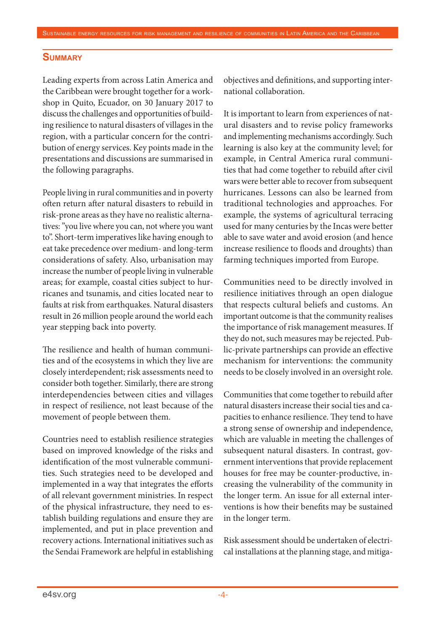#### **Summary**

Leading experts from across Latin America and the Caribbean were brought together for a workshop in Quito, Ecuador, on 30 January 2017 to discuss the challenges and opportunities of building resilience to natural disasters of villages in the region, with a particular concern for the contribution of energy services. Key points made in the presentations and discussions are summarised in the following paragraphs.

People living in rural communities and in poverty often return after natural disasters to rebuild in risk-prone areas as they have no realistic alternatives: "you live where you can, not where you want to". Short-term imperatives like having enough to eat take precedence over medium- and long-term considerations of safety. Also, urbanisation may increase the number of people living in vulnerable areas; for example, coastal cities subject to hurricanes and tsunamis, and cities located near to faults at risk from earthquakes. Natural disasters result in 26 million people around the world each year stepping back into poverty.

The resilience and health of human communities and of the ecosystems in which they live are closely interdependent; risk assessments need to consider both together. Similarly, there are strong interdependencies between cities and villages in respect of resilience, not least because of the movement of people between them.

Countries need to establish resilience strategies based on improved knowledge of the risks and identification of the most vulnerable communities. Such strategies need to be developed and implemented in a way that integrates the efforts of all relevant government ministries. In respect of the physical infrastructure, they need to establish building regulations and ensure they are implemented, and put in place prevention and recovery actions. International initiatives such as the Sendai Framework are helpful in establishing objectives and definitions, and supporting international collaboration.

It is important to learn from experiences of natural disasters and to revise policy frameworks and implementing mechanisms accordingly. Such learning is also key at the community level; for example, in Central America rural communities that had come together to rebuild after civil wars were better able to recover from subsequent hurricanes. Lessons can also be learned from traditional technologies and approaches. For example, the systems of agricultural terracing used for many centuries by the Incas were better able to save water and avoid erosion (and hence increase resilience to floods and droughts) than farming techniques imported from Europe.

Communities need to be directly involved in resilience initiatives through an open dialogue that respects cultural beliefs and customs. An important outcome is that the community realises the importance of risk management measures. If they do not, such measures may be rejected. Public-private partnerships can provide an effective mechanism for interventions: the community needs to be closely involved in an oversight role.

Communities that come together to rebuild after natural disasters increase their social ties and capacities to enhance resilience. They tend to have a strong sense of ownership and independence, which are valuable in meeting the challenges of subsequent natural disasters. In contrast, government interventions that provide replacement houses for free may be counter-productive, increasing the vulnerability of the community in the longer term. An issue for all external interventions is how their benefits may be sustained in the longer term.

Risk assessment should be undertaken of electrical installations at the planning stage, and mitiga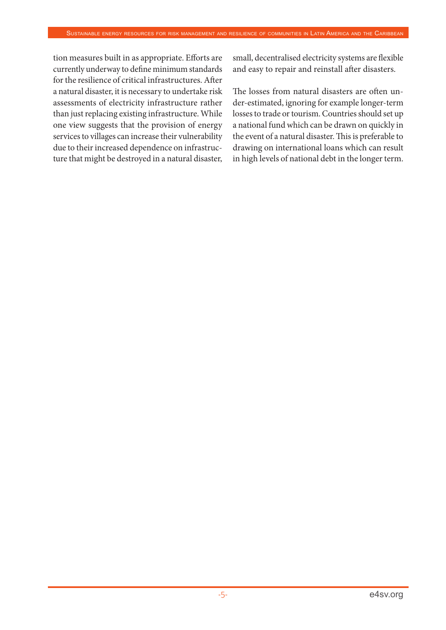tion measures built in as appropriate. Efforts are currently underway to define minimum standards for the resilience of critical infrastructures. After a natural disaster, it is necessary to undertake risk assessments of electricity infrastructure rather than just replacing existing infrastructure. While one view suggests that the provision of energy services to villages can increase their vulnerability due to their increased dependence on infrastructure that might be destroyed in a natural disaster, small, decentralised electricity systems are flexible and easy to repair and reinstall after disasters.

The losses from natural disasters are often under-estimated, ignoring for example longer-term losses to trade or tourism. Countries should set up a national fund which can be drawn on quickly in the event of a natural disaster. This is preferable to drawing on international loans which can result in high levels of national debt in the longer term.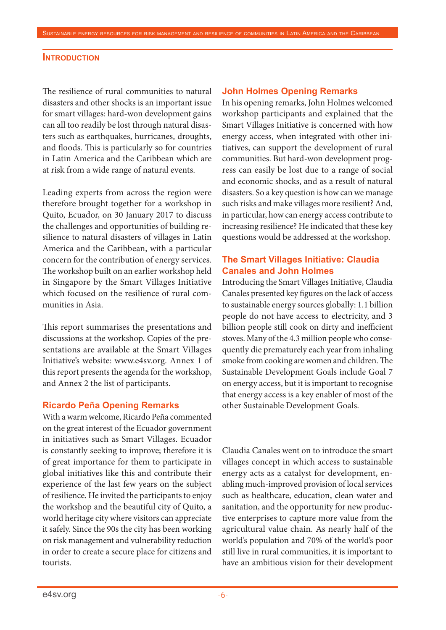#### **INTRODUCTION**

The resilience of rural communities to natural disasters and other shocks is an important issue for smart villages: hard-won development gains can all too readily be lost through natural disasters such as earthquakes, hurricanes, droughts, and floods. This is particularly so for countries in Latin America and the Caribbean which are at risk from a wide range of natural events.

Leading experts from across the region were therefore brought together for a workshop in Quito, Ecuador, on 30 January 2017 to discuss the challenges and opportunities of building resilience to natural disasters of villages in Latin America and the Caribbean, with a particular concern for the contribution of energy services. The workshop built on an earlier workshop held in Singapore by the Smart Villages Initiative which focused on the resilience of rural communities in Asia.

This report summarises the presentations and discussions at the workshop. Copies of the presentations are available at the Smart Villages Initiative's website: www.e4sv.org. Annex 1 of this report presents the agenda for the workshop, and Annex 2 the list of participants.

#### **Ricardo Peña Opening Remarks**

With a warm welcome, Ricardo Peña commented on the great interest of the Ecuador government in initiatives such as Smart Villages. Ecuador is constantly seeking to improve; therefore it is of great importance for them to participate in global initiatives like this and contribute their experience of the last few years on the subject of resilience. He invited the participants to enjoy the workshop and the beautiful city of Quito, a world heritage city where visitors can appreciate it safely. Since the 90s the city has been working on risk management and vulnerability reduction in order to create a secure place for citizens and tourists.

#### **John Holmes Opening Remarks**

In his opening remarks, John Holmes welcomed workshop participants and explained that the Smart Villages Initiative is concerned with how energy access, when integrated with other initiatives, can support the development of rural communities. But hard-won development progress can easily be lost due to a range of social and economic shocks, and as a result of natural disasters. So a key question is how can we manage such risks and make villages more resilient? And, in particular, how can energy access contribute to increasing resilience? He indicated that these key questions would be addressed at the workshop.

#### **The Smart Villages Initiative: Claudia Canales and John Holmes**

Introducing the Smart Villages Initiative, Claudia Canales presented key figures on the lack of access to sustainable energy sources globally: 1.1 billion people do not have access to electricity, and 3 billion people still cook on dirty and inefficient stoves. Many of the 4.3 million people who consequently die prematurely each year from inhaling smoke from cooking are women and children. The Sustainable Development Goals include Goal 7 on energy access, but it is important to recognise that energy access is a key enabler of most of the other Sustainable Development Goals.

Claudia Canales went on to introduce the smart villages concept in which access to sustainable energy acts as a catalyst for development, enabling much-improved provision of local services such as healthcare, education, clean water and sanitation, and the opportunity for new productive enterprises to capture more value from the agricultural value chain. As nearly half of the world's population and 70% of the world's poor still live in rural communities, it is important to have an ambitious vision for their development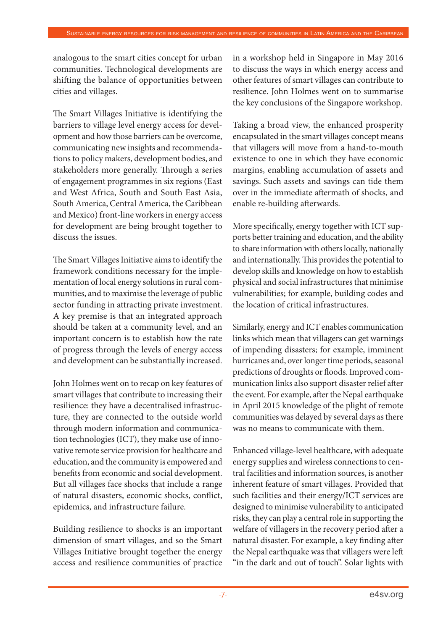analogous to the smart cities concept for urban communities. Technological developments are shifting the balance of opportunities between cities and villages.

The Smart Villages Initiative is identifying the barriers to village level energy access for development and how those barriers can be overcome, communicating new insights and recommendations to policy makers, development bodies, and stakeholders more generally. Through a series of engagement programmes in six regions (East and West Africa, South and South East Asia, South America, Central America, the Caribbean and Mexico) front-line workers in energy access for development are being brought together to discuss the issues.

The Smart Villages Initiative aims to identify the framework conditions necessary for the implementation of local energy solutions in rural communities, and to maximise the leverage of public sector funding in attracting private investment. A key premise is that an integrated approach should be taken at a community level, and an important concern is to establish how the rate of progress through the levels of energy access and development can be substantially increased.

John Holmes went on to recap on key features of smart villages that contribute to increasing their resilience: they have a decentralised infrastructure, they are connected to the outside world through modern information and communication technologies (ICT), they make use of innovative remote service provision for healthcare and education, and the community is empowered and benefits from economic and social development. But all villages face shocks that include a range of natural disasters, economic shocks, conflict, epidemics, and infrastructure failure.

Building resilience to shocks is an important dimension of smart villages, and so the Smart Villages Initiative brought together the energy access and resilience communities of practice in a workshop held in Singapore in May 2016 to discuss the ways in which energy access and other features of smart villages can contribute to resilience. John Holmes went on to summarise the key conclusions of the Singapore workshop.

Taking a broad view, the enhanced prosperity encapsulated in the smart villages concept means that villagers will move from a hand-to-mouth existence to one in which they have economic margins, enabling accumulation of assets and savings. Such assets and savings can tide them over in the immediate aftermath of shocks, and enable re-building afterwards.

More specifically, energy together with ICT supports better training and education, and the ability to share information with others locally, nationally and internationally. This provides the potential to develop skills and knowledge on how to establish physical and social infrastructures that minimise vulnerabilities; for example, building codes and the location of critical infrastructures.

Similarly, energy and ICT enables communication links which mean that villagers can get warnings of impending disasters; for example, imminent hurricanes and, over longer time periods, seasonal predictions of droughts or floods. Improved communication links also support disaster relief after the event. For example, after the Nepal earthquake in April 2015 knowledge of the plight of remote communities was delayed by several days as there was no means to communicate with them.

Enhanced village-level healthcare, with adequate energy supplies and wireless connections to central facilities and information sources, is another inherent feature of smart villages. Provided that such facilities and their energy/ICT services are designed to minimise vulnerability to anticipated risks, they can play a central role in supporting the welfare of villagers in the recovery period after a natural disaster. For example, a key finding after the Nepal earthquake was that villagers were left "in the dark and out of touch". Solar lights with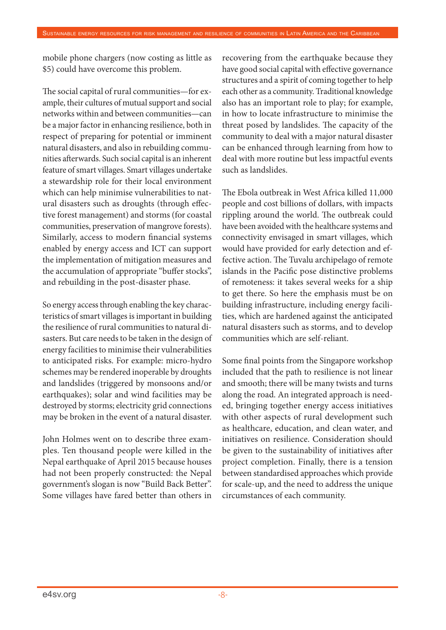mobile phone chargers (now costing as little as \$5) could have overcome this problem.

The social capital of rural communities—for example, their cultures of mutual support and social networks within and between communities—can be a major factor in enhancing resilience, both in respect of preparing for potential or imminent natural disasters, and also in rebuilding communities afterwards. Such social capital is an inherent feature of smart villages. Smart villages undertake a stewardship role for their local environment which can help minimise vulnerabilities to natural disasters such as droughts (through effective forest management) and storms (for coastal communities, preservation of mangrove forests). Similarly, access to modern financial systems enabled by energy access and ICT can support the implementation of mitigation measures and the accumulation of appropriate "buffer stocks", and rebuilding in the post-disaster phase.

So energy access through enabling the key characteristics of smart villages is important in building the resilience of rural communities to natural disasters. But care needs to be taken in the design of energy facilities to minimise their vulnerabilities to anticipated risks. For example: micro-hydro schemes may be rendered inoperable by droughts and landslides (triggered by monsoons and/or earthquakes); solar and wind facilities may be destroyed by storms; electricity grid connections may be broken in the event of a natural disaster.

John Holmes went on to describe three examples. Ten thousand people were killed in the Nepal earthquake of April 2015 because houses had not been properly constructed: the Nepal government's slogan is now "Build Back Better". Some villages have fared better than others in

recovering from the earthquake because they have good social capital with effective governance structures and a spirit of coming together to help each other as a community. Traditional knowledge also has an important role to play; for example, in how to locate infrastructure to minimise the threat posed by landslides. The capacity of the community to deal with a major natural disaster can be enhanced through learning from how to deal with more routine but less impactful events such as landslides.

The Ebola outbreak in West Africa killed 11,000 people and cost billions of dollars, with impacts rippling around the world. The outbreak could have been avoided with the healthcare systems and connectivity envisaged in smart villages, which would have provided for early detection and effective action. The Tuvalu archipelago of remote islands in the Pacific pose distinctive problems of remoteness: it takes several weeks for a ship to get there. So here the emphasis must be on building infrastructure, including energy facilities, which are hardened against the anticipated natural disasters such as storms, and to develop communities which are self-reliant.

Some final points from the Singapore workshop included that the path to resilience is not linear and smooth; there will be many twists and turns along the road. An integrated approach is needed, bringing together energy access initiatives with other aspects of rural development such as healthcare, education, and clean water, and initiatives on resilience. Consideration should be given to the sustainability of initiatives after project completion. Finally, there is a tension between standardised approaches which provide for scale-up, and the need to address the unique circumstances of each community.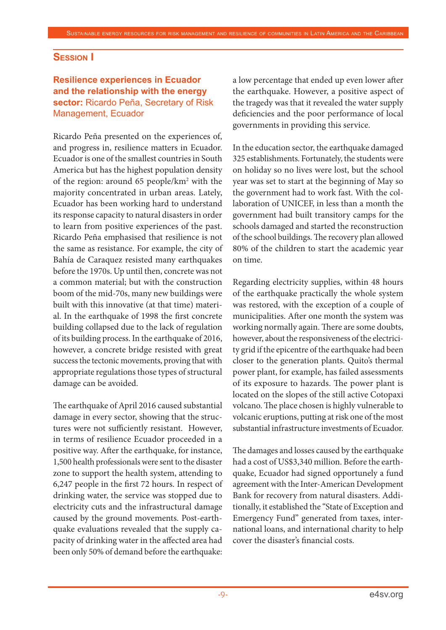#### **Session I**

#### **Resilience experiences in Ecuador and the relationship with the energy sector:** Ricardo Peña, Secretary of Risk Management, Ecuador

Ricardo Peña presented on the experiences of, and progress in, resilience matters in Ecuador. Ecuador is one of the smallest countries in South America but has the highest population density of the region: around 65 people/km<sup>2</sup> with the majority concentrated in urban areas. Lately, Ecuador has been working hard to understand its response capacity to natural disasters in order to learn from positive experiences of the past. Ricardo Peña emphasised that resilience is not the same as resistance. For example, the city of Bahía de Caraquez resisted many earthquakes before the 1970s. Up until then, concrete was not a common material; but with the construction boom of the mid-70s, many new buildings were built with this innovative (at that time) material. In the earthquake of 1998 the first concrete building collapsed due to the lack of regulation of its building process. In the earthquake of 2016, however, a concrete bridge resisted with great success the tectonic movements, proving that with appropriate regulations those types of structural damage can be avoided.

The earthquake of April 2016 caused substantial damage in every sector, showing that the structures were not sufficiently resistant. However, in terms of resilience Ecuador proceeded in a positive way. After the earthquake, for instance, 1,500 health professionals were sent to the disaster zone to support the health system, attending to 6,247 people in the first 72 hours. In respect of drinking water, the service was stopped due to electricity cuts and the infrastructural damage caused by the ground movements. Post-earthquake evaluations revealed that the supply capacity of drinking water in the affected area had been only 50% of demand before the earthquake:

a low percentage that ended up even lower after the earthquake. However, a positive aspect of the tragedy was that it revealed the water supply deficiencies and the poor performance of local governments in providing this service.

In the education sector, the earthquake damaged 325 establishments. Fortunately, the students were on holiday so no lives were lost, but the school year was set to start at the beginning of May so the government had to work fast. With the collaboration of UNICEF, in less than a month the government had built transitory camps for the schools damaged and started the reconstruction of the school buildings. The recovery plan allowed 80% of the children to start the academic year on time.

Regarding electricity supplies, within 48 hours of the earthquake practically the whole system was restored, with the exception of a couple of municipalities. After one month the system was working normally again. There are some doubts, however, about the responsiveness of the electricity grid if the epicentre of the earthquake had been closer to the generation plants. Quito's thermal power plant, for example, has failed assessments of its exposure to hazards. The power plant is located on the slopes of the still active Cotopaxi volcano. The place chosen is highly vulnerable to volcanic eruptions, putting at risk one of the most substantial infrastructure investments of Ecuador.

The damages and losses caused by the earthquake had a cost of US\$3,340 million. Before the earthquake, Ecuador had signed opportunely a fund agreement with the Inter-American Development Bank for recovery from natural disasters. Additionally, it established the "State of Exception and Emergency Fund" generated from taxes, international loans, and international charity to help cover the disaster's financial costs.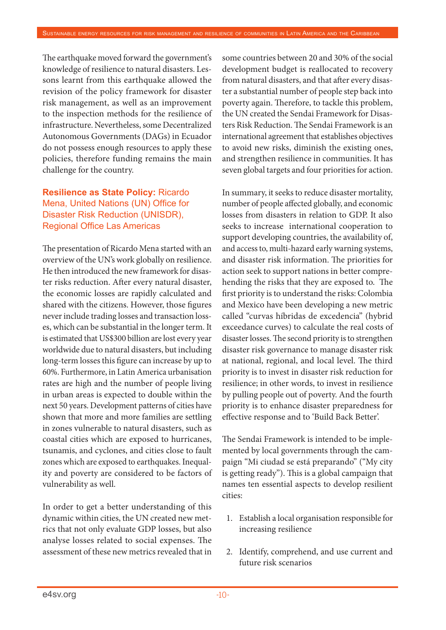The earthquake moved forward the government's knowledge of resilience to natural disasters. Lessons learnt from this earthquake allowed the revision of the policy framework for disaster risk management, as well as an improvement to the inspection methods for the resilience of infrastructure. Nevertheless, some Decentralized Autonomous Governments (DAGs) in Ecuador do not possess enough resources to apply these policies, therefore funding remains the main challenge for the country.

### **Resilience as State Policy:** Ricardo Mena, United Nations (UN) Office for Disaster Risk Reduction (UNISDR), Regional Office Las Americas

The presentation of Ricardo Mena started with an overview of the UN's work globally on resilience. He then introduced the new framework for disaster risks reduction. After every natural disaster, the economic losses are rapidly calculated and shared with the citizens. However, those figures never include trading losses and transaction losses, which can be substantial in the longer term. It is estimated that US\$300 billion are lost every year worldwide due to natural disasters, but including long-term losses this figure can increase by up to 60%. Furthermore, in Latin America urbanisation rates are high and the number of people living in urban areas is expected to double within the next 50 years. Development patterns of cities have shown that more and more families are settling in zones vulnerable to natural disasters, such as coastal cities which are exposed to hurricanes, tsunamis, and cyclones, and cities close to fault zones which are exposed to earthquakes. Inequality and poverty are considered to be factors of vulnerability as well.

In order to get a better understanding of this dynamic within cities, the UN created new metrics that not only evaluate GDP losses, but also analyse losses related to social expenses. The assessment of these new metrics revealed that in

some countries between 20 and 30% of the social development budget is reallocated to recovery from natural disasters, and that after every disaster a substantial number of people step back into poverty again. Therefore, to tackle this problem, the UN created the Sendai Framework for Disasters Risk Reduction. The Sendai Framework is an international agreement that establishes objectives to avoid new risks, diminish the existing ones, and strengthen resilience in communities. It has seven global targets and four priorities for action.

In summary, it seeks to reduce disaster mortality, number of people affected globally, and economic losses from disasters in relation to GDP. It also seeks to increase international cooperation to support developing countries, the availability of, and access to, multi-hazard early warning systems, and disaster risk information. The priorities for action seek to support nations in better comprehending the risks that they are exposed to. The first priority is to understand the risks: Colombia and Mexico have been developing a new metric called "curvas híbridas de excedencia" (hybrid exceedance curves) to calculate the real costs of disaster losses. The second priority is to strengthen disaster risk governance to manage disaster risk at national, regional, and local level. The third priority is to invest in disaster risk reduction for resilience; in other words, to invest in resilience by pulling people out of poverty. And the fourth priority is to enhance disaster preparedness for effective response and to 'Build Back Better'.

The Sendai Framework is intended to be implemented by local governments through the campaign "Mi ciudad se está preparando" ("My city is getting ready"). This is a global campaign that names ten essential aspects to develop resilient cities:

- 1. Establish a local organisation responsible for increasing resilience
- 2. Identify, comprehend, and use current and future risk scenarios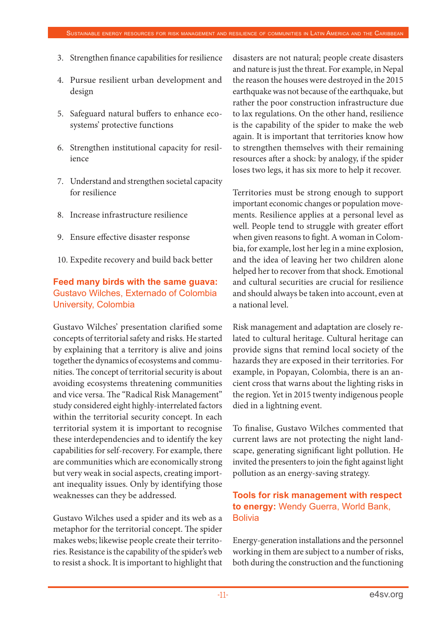- 3. Strengthen finance capabilities for resilience
- 4. Pursue resilient urban development and design
- 5. Safeguard natural buffers to enhance ecosystems' protective functions
- 6. Strengthen institutional capacity for resilience
- 7. Understand and strengthen societal capacity for resilience
- 8. Increase infrastructure resilience
- 9. Ensure effective disaster response
- 10. Expedite recovery and build back better

### **Feed many birds with the same guava:**  Gustavo Wilches, Externado of Colombia University, Colombia

Gustavo Wilches' presentation clarified some concepts of territorial safety and risks. He started by explaining that a territory is alive and joins together the dynamics of ecosystems and communities. The concept of territorial security is about avoiding ecosystems threatening communities and vice versa. The "Radical Risk Management" study considered eight highly-interrelated factors within the territorial security concept. In each territorial system it is important to recognise these interdependencies and to identify the key capabilities for self-recovery. For example, there are communities which are economically strong but very weak in social aspects, creating important inequality issues. Only by identifying those weaknesses can they be addressed.

Gustavo Wilches used a spider and its web as a metaphor for the territorial concept. The spider makes webs; likewise people create their territories. Resistance is the capability of the spider's web to resist a shock. It is important to highlight that

disasters are not natural; people create disasters and nature is just the threat. For example, in Nepal the reason the houses were destroyed in the 2015 earthquake was not because of the earthquake, but rather the poor construction infrastructure due to lax regulations. On the other hand, resilience is the capability of the spider to make the web again. It is important that territories know how to strengthen themselves with their remaining resources after a shock: by analogy, if the spider loses two legs, it has six more to help it recover.

Territories must be strong enough to support important economic changes or population movements. Resilience applies at a personal level as well. People tend to struggle with greater effort when given reasons to fight. A woman in Colombia, for example, lost her leg in a mine explosion, and the idea of leaving her two children alone helped her to recover from that shock. Emotional and cultural securities are crucial for resilience and should always be taken into account, even at a national level.

Risk management and adaptation are closely related to cultural heritage. Cultural heritage can provide signs that remind local society of the hazards they are exposed in their territories. For example, in Popayan, Colombia, there is an ancient cross that warns about the lighting risks in the region. Yet in 2015 twenty indigenous people died in a lightning event.

To finalise, Gustavo Wilches commented that current laws are not protecting the night landscape, generating significant light pollution. He invited the presenters to join the fight against light pollution as an energy-saving strategy.

#### **Tools for risk management with respect to energy:** Wendy Guerra, World Bank, **Bolivia**

Energy-generation installations and the personnel working in them are subject to a number of risks, both during the construction and the functioning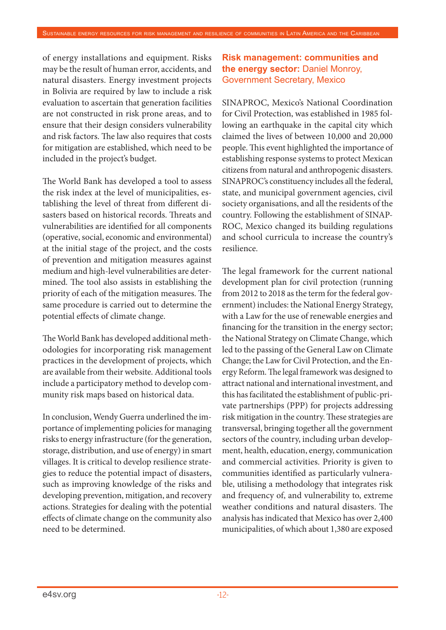of energy installations and equipment. Risks may be the result of human error, accidents, and natural disasters. Energy investment projects in Bolivia are required by law to include a risk evaluation to ascertain that generation facilities are not constructed in risk prone areas, and to ensure that their design considers vulnerability and risk factors. The law also requires that costs for mitigation are established, which need to be included in the project's budget.

The World Bank has developed a tool to assess the risk index at the level of municipalities, establishing the level of threat from different disasters based on historical records. Threats and vulnerabilities are identified for all components (operative, social, economic and environmental) at the initial stage of the project, and the costs of prevention and mitigation measures against medium and high-level vulnerabilities are determined. The tool also assists in establishing the priority of each of the mitigation measures. The same procedure is carried out to determine the potential effects of climate change.

The World Bank has developed additional methodologies for incorporating risk management practices in the development of projects, which are available from their website. Additional tools include a participatory method to develop community risk maps based on historical data.

In conclusion, Wendy Guerra underlined the importance of implementing policies for managing risks to energy infrastructure (for the generation, storage, distribution, and use of energy) in smart villages. It is critical to develop resilience strategies to reduce the potential impact of disasters, such as improving knowledge of the risks and developing prevention, mitigation, and recovery actions. Strategies for dealing with the potential effects of climate change on the community also need to be determined.

### **Risk management: communities and the energy sector:** Daniel Monroy, Government Secretary, Mexico

SINAPROC, Mexico's National Coordination for Civil Protection, was established in 1985 following an earthquake in the capital city which claimed the lives of between 10,000 and 20,000 people. This event highlighted the importance of establishing response systems to protect Mexican citizens from natural and anthropogenic disasters. SINAPROC's constituency includes all the federal, state, and municipal government agencies, civil society organisations, and all the residents of the country. Following the establishment of SINAP-ROC, Mexico changed its building regulations and school curricula to increase the country's resilience.

The legal framework for the current national development plan for civil protection (running from 2012 to 2018 as the term for the federal government) includes: the National Energy Strategy, with a Law for the use of renewable energies and financing for the transition in the energy sector; the National Strategy on Climate Change, which led to the passing of the General Law on Climate Change; the Law for Civil Protection, and the Energy Reform. The legal framework was designed to attract national and international investment, and this has facilitated the establishment of public-private partnerships (PPP) for projects addressing risk mitigation in the country. These strategies are transversal, bringing together all the government sectors of the country, including urban development, health, education, energy, communication and commercial activities. Priority is given to communities identified as particularly vulnerable, utilising a methodology that integrates risk and frequency of, and vulnerability to, extreme weather conditions and natural disasters. The analysis has indicated that Mexico has over 2,400 municipalities, of which about 1,380 are exposed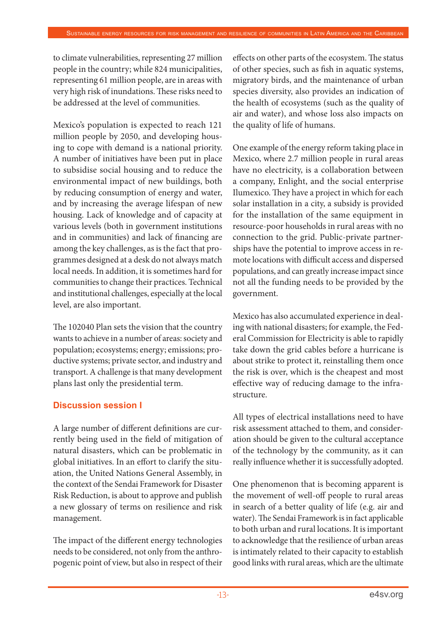to climate vulnerabilities, representing 27 million people in the country; while 824 municipalities, representing 61 million people, are in areas with very high risk of inundations. These risks need to be addressed at the level of communities.

Mexico's population is expected to reach 121 million people by 2050, and developing housing to cope with demand is a national priority. A number of initiatives have been put in place to subsidise social housing and to reduce the environmental impact of new buildings, both by reducing consumption of energy and water, and by increasing the average lifespan of new housing. Lack of knowledge and of capacity at various levels (both in government institutions and in communities) and lack of financing are among the key challenges, as is the fact that programmes designed at a desk do not always match local needs. In addition, it is sometimes hard for communities to change their practices. Technical and institutional challenges, especially at the local level, are also important.

The 102040 Plan sets the vision that the country wants to achieve in a number of areas: society and population; ecosystems; energy; emissions; productive systems; private sector, and industry and transport. A challenge is that many development plans last only the presidential term.

#### **Discussion session I**

A large number of different definitions are currently being used in the field of mitigation of natural disasters, which can be problematic in global initiatives. In an effort to clarify the situation, the United Nations General Assembly, in the context of the Sendai Framework for Disaster Risk Reduction, is about to approve and publish a new glossary of terms on resilience and risk management.

The impact of the different energy technologies needs to be considered, not only from the anthropogenic point of view, but also in respect of their effects on other parts of the ecosystem. The status of other species, such as fish in aquatic systems, migratory birds, and the maintenance of urban species diversity, also provides an indication of the health of ecosystems (such as the quality of air and water), and whose loss also impacts on the quality of life of humans.

One example of the energy reform taking place in Mexico, where 2.7 million people in rural areas have no electricity, is a collaboration between a company, Enlight, and the social enterprise Ilumexico. They have a project in which for each solar installation in a city, a subsidy is provided for the installation of the same equipment in resource-poor households in rural areas with no connection to the grid. Public-private partnerships have the potential to improve access in remote locations with difficult access and dispersed populations, and can greatly increase impact since not all the funding needs to be provided by the government.

Mexico has also accumulated experience in dealing with national disasters; for example, the Federal Commission for Electricity is able to rapidly take down the grid cables before a hurricane is about strike to protect it, reinstalling them once the risk is over, which is the cheapest and most effective way of reducing damage to the infrastructure.

All types of electrical installations need to have risk assessment attached to them, and consideration should be given to the cultural acceptance of the technology by the community, as it can really influence whether it is successfully adopted.

One phenomenon that is becoming apparent is the movement of well-off people to rural areas in search of a better quality of life (e.g. air and water). The Sendai Framework is in fact applicable to both urban and rural locations. It is important to acknowledge that the resilience of urban areas is intimately related to their capacity to establish good links with rural areas, which are the ultimate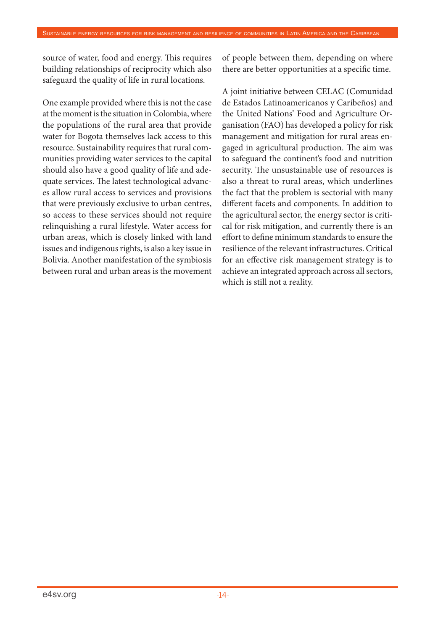source of water, food and energy. This requires building relationships of reciprocity which also safeguard the quality of life in rural locations.

One example provided where this is not the case at the moment is the situation in Colombia, where the populations of the rural area that provide water for Bogota themselves lack access to this resource. Sustainability requires that rural communities providing water services to the capital should also have a good quality of life and adequate services. The latest technological advances allow rural access to services and provisions that were previously exclusive to urban centres, so access to these services should not require relinquishing a rural lifestyle. Water access for urban areas, which is closely linked with land issues and indigenous rights, is also a key issue in Bolivia. Another manifestation of the symbiosis between rural and urban areas is the movement of people between them, depending on where there are better opportunities at a specific time.

A joint initiative between CELAC (Comunidad de Estados Latinoamericanos y Caribeños) and the United Nations' Food and Agriculture Organisation (FAO) has developed a policy for risk management and mitigation for rural areas engaged in agricultural production. The aim was to safeguard the continent's food and nutrition security. The unsustainable use of resources is also a threat to rural areas, which underlines the fact that the problem is sectorial with many different facets and components. In addition to the agricultural sector, the energy sector is critical for risk mitigation, and currently there is an effort to define minimum standards to ensure the resilience of the relevant infrastructures. Critical for an effective risk management strategy is to achieve an integrated approach across all sectors, which is still not a reality.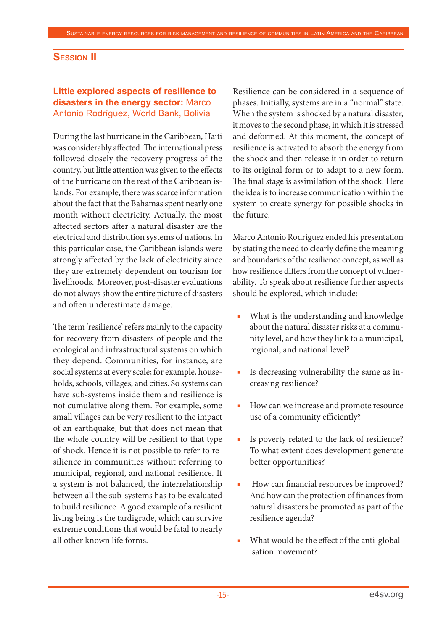#### **Session II**

#### **Little explored aspects of resilience to disasters in the energy sector:** Marco Antonio Rodríguez, World Bank, Bolivia

During the last hurricane in the Caribbean, Haiti was considerably affected. The international press followed closely the recovery progress of the country, but little attention was given to the effects of the hurricane on the rest of the Caribbean islands. For example, there was scarce information about the fact that the Bahamas spent nearly one month without electricity. Actually, the most affected sectors after a natural disaster are the electrical and distribution systems of nations. In this particular case, the Caribbean islands were strongly affected by the lack of electricity since they are extremely dependent on tourism for livelihoods. Moreover, post-disaster evaluations do not always show the entire picture of disasters and often underestimate damage.

The term 'resilience' refers mainly to the capacity for recovery from disasters of people and the ecological and infrastructural systems on which they depend. Communities, for instance, are social systems at every scale; for example, households, schools, villages, and cities. So systems can have sub-systems inside them and resilience is not cumulative along them. For example, some small villages can be very resilient to the impact of an earthquake, but that does not mean that the whole country will be resilient to that type of shock. Hence it is not possible to refer to resilience in communities without referring to municipal, regional, and national resilience. If a system is not balanced, the interrelationship between all the sub-systems has to be evaluated to build resilience. A good example of a resilient living being is the tardigrade, which can survive extreme conditions that would be fatal to nearly all other known life forms.

Resilience can be considered in a sequence of phases. Initially, systems are in a "normal" state. When the system is shocked by a natural disaster, it moves to the second phase, in which it is stressed and deformed. At this moment, the concept of resilience is activated to absorb the energy from the shock and then release it in order to return to its original form or to adapt to a new form. The final stage is assimilation of the shock. Here the idea is to increase communication within the system to create synergy for possible shocks in the future.

Marco Antonio Rodríguez ended his presentation by stating the need to clearly define the meaning and boundaries of the resilience concept, as well as how resilience differs from the concept of vulnerability. To speak about resilience further aspects should be explored, which include:

- What is the understanding and knowledge about the natural disaster risks at a community level, and how they link to a municipal, regional, and national level?
- Is decreasing vulnerability the same as increasing resilience?
- How can we increase and promote resource use of a community efficiently?
- Is poverty related to the lack of resilience? To what extent does development generate better opportunities?
- How can financial resources be improved? And how can the protection of finances from natural disasters be promoted as part of the resilience agenda?
- What would be the effect of the anti-globalisation movement?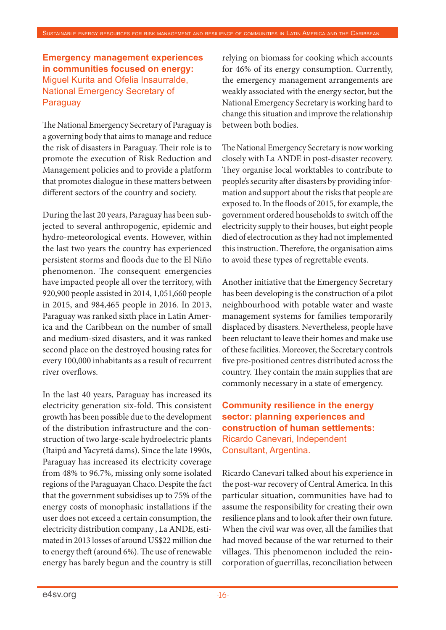#### **Emergency management experiences in communities focused on energy:**  Miguel Kurita and Ofelia Insaurralde, National Emergency Secretary of **Paraguay**

The National Emergency Secretary of Paraguay is a governing body that aims to manage and reduce the risk of disasters in Paraguay. Their role is to promote the execution of Risk Reduction and Management policies and to provide a platform that promotes dialogue in these matters between different sectors of the country and society.

During the last 20 years, Paraguay has been subjected to several anthropogenic, epidemic and hydro-meteorological events. However, within the last two years the country has experienced persistent storms and floods due to the El Niño phenomenon. The consequent emergencies have impacted people all over the territory, with 920,900 people assisted in 2014, 1,051,660 people in 2015, and 984,465 people in 2016. In 2013, Paraguay was ranked sixth place in Latin America and the Caribbean on the number of small and medium-sized disasters, and it was ranked second place on the destroyed housing rates for every 100,000 inhabitants as a result of recurrent river overflows.

In the last 40 years, Paraguay has increased its electricity generation six-fold. This consistent growth has been possible due to the development of the distribution infrastructure and the construction of two large-scale hydroelectric plants (Itaipú and Yacyretá dams). Since the late 1990s, Paraguay has increased its electricity coverage from 48% to 96.7%, missing only some isolated regions of the Paraguayan Chaco. Despite the fact that the government subsidises up to 75% of the energy costs of monophasic installations if the user does not exceed a certain consumption, the electricity distribution company , La ANDE, estimated in 2013 losses of around US\$22 million due to energy theft (around 6%). The use of renewable energy has barely begun and the country is still

relying on biomass for cooking which accounts for 46% of its energy consumption. Currently, the emergency management arrangements are weakly associated with the energy sector, but the National Emergency Secretary is working hard to change this situation and improve the relationship between both bodies.

The National Emergency Secretary is now working closely with La ANDE in post-disaster recovery. They organise local worktables to contribute to people's security after disasters by providing information and support about the risks that people are exposed to. In the floods of 2015, for example, the government ordered households to switch off the electricity supply to their houses, but eight people died of electrocution as they had not implemented this instruction. Therefore, the organisation aims to avoid these types of regrettable events.

Another initiative that the Emergency Secretary has been developing is the construction of a pilot neighbourhood with potable water and waste management systems for families temporarily displaced by disasters. Nevertheless, people have been reluctant to leave their homes and make use of these facilities. Moreover, the Secretary controls five pre-positioned centres distributed across the country. They contain the main supplies that are commonly necessary in a state of emergency.

## **Community resilience in the energy sector: planning experiences and construction of human settlements:**  Ricardo Canevari, Independent Consultant, Argentina.

Ricardo Canevari talked about his experience in the post-war recovery of Central America. In this particular situation, communities have had to assume the responsibility for creating their own resilience plans and to look after their own future. When the civil war was over, all the families that had moved because of the war returned to their villages. This phenomenon included the reincorporation of guerrillas, reconciliation between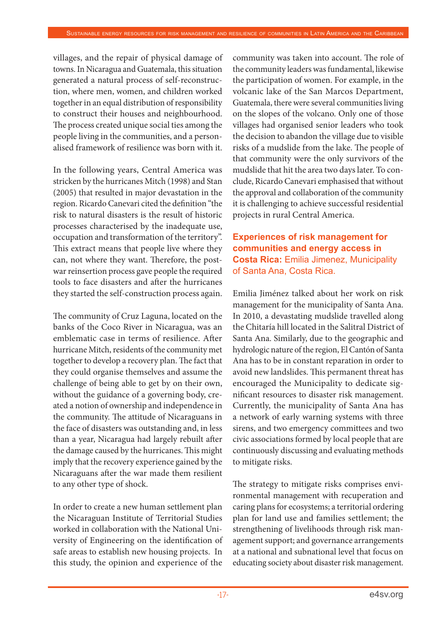villages, and the repair of physical damage of towns. In Nicaragua and Guatemala, this situation generated a natural process of self-reconstruction, where men, women, and children worked together in an equal distribution of responsibility to construct their houses and neighbourhood. The process created unique social ties among the people living in the communities, and a personalised framework of resilience was born with it.

In the following years, Central America was stricken by the hurricanes Mitch (1998) and Stan (2005) that resulted in major devastation in the region. Ricardo Canevari cited the definition "the risk to natural disasters is the result of historic processes characterised by the inadequate use, occupation and transformation of the territory". This extract means that people live where they can, not where they want. Therefore, the postwar reinsertion process gave people the required tools to face disasters and after the hurricanes they started the self-construction process again.

The community of Cruz Laguna, located on the banks of the Coco River in Nicaragua, was an emblematic case in terms of resilience. After hurricane Mitch, residents of the community met together to develop a recovery plan. The fact that they could organise themselves and assume the challenge of being able to get by on their own, without the guidance of a governing body, created a notion of ownership and independence in the community. The attitude of Nicaraguans in the face of disasters was outstanding and, in less than a year, Nicaragua had largely rebuilt after the damage caused by the hurricanes. This might imply that the recovery experience gained by the Nicaraguans after the war made them resilient to any other type of shock.

In order to create a new human settlement plan the Nicaraguan Institute of Territorial Studies worked in collaboration with the National University of Engineering on the identification of safe areas to establish new housing projects. In this study, the opinion and experience of the

community was taken into account. The role of the community leaders was fundamental, likewise the participation of women. For example, in the volcanic lake of the San Marcos Department, Guatemala, there were several communities living on the slopes of the volcano. Only one of those villages had organised senior leaders who took the decision to abandon the village due to visible risks of a mudslide from the lake. The people of that community were the only survivors of the mudslide that hit the area two days later. To conclude, Ricardo Canevari emphasised that without the approval and collaboration of the community it is challenging to achieve successful residential projects in rural Central America.

## **Experiences of risk management for communities and energy access in Costa Rica:** Emilia Jimenez, Municipality of Santa Ana, Costa Rica.

Emilia Jiménez talked about her work on risk management for the municipality of Santa Ana. In 2010, a devastating mudslide travelled along the Chitaría hill located in the Salitral District of Santa Ana. Similarly, due to the geographic and hydrologic nature of the region, El Cantón of Santa Ana has to be in constant reparation in order to avoid new landslides. This permanent threat has encouraged the Municipality to dedicate significant resources to disaster risk management. Currently, the municipality of Santa Ana has a network of early warning systems with three sirens, and two emergency committees and two civic associations formed by local people that are continuously discussing and evaluating methods to mitigate risks.

The strategy to mitigate risks comprises environmental management with recuperation and caring plans for ecosystems; a territorial ordering plan for land use and families settlement; the strengthening of livelihoods through risk management support; and governance arrangements at a national and subnational level that focus on educating society about disaster risk management.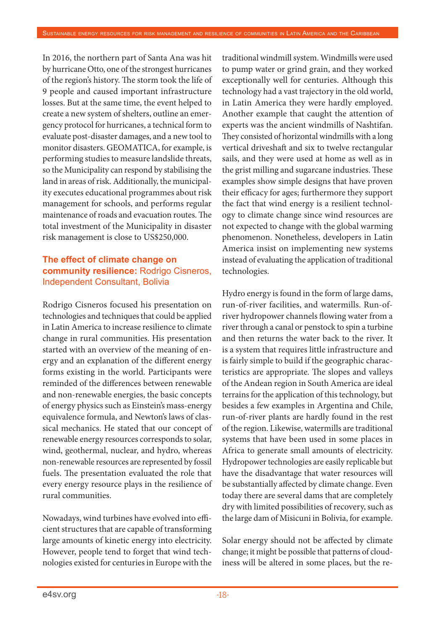In 2016, the northern part of Santa Ana was hit by hurricane Otto, one of the strongest hurricanes of the region's history. The storm took the life of 9 people and caused important infrastructure losses. But at the same time, the event helped to create a new system of shelters, outline an emergency protocol for hurricanes, a technical form to evaluate post-disaster damages, and a new tool to monitor disasters. GEOMATICA, for example, is performing studies to measure landslide threats, so the Municipality can respond by stabilising the land in areas of risk. Additionally, the municipality executes educational programmes about risk management for schools, and performs regular maintenance of roads and evacuation routes. The total investment of the Municipality in disaster risk management is close to US\$250,000.

## **The effect of climate change on community resilience:** Rodrigo Cisneros, Independent Consultant, Bolivia

Rodrigo Cisneros focused his presentation on technologies and techniques that could be applied in Latin America to increase resilience to climate change in rural communities. His presentation started with an overview of the meaning of energy and an explanation of the different energy forms existing in the world. Participants were reminded of the differences between renewable and non-renewable energies, the basic concepts of energy physics such as Einstein's mass-energy equivalence formula, and Newton's laws of classical mechanics. He stated that our concept of renewable energy resources corresponds to solar, wind, geothermal, nuclear, and hydro, whereas non-renewable resources are represented by fossil fuels. The presentation evaluated the role that every energy resource plays in the resilience of rural communities.

Nowadays, wind turbines have evolved into efficient structures that are capable of transforming large amounts of kinetic energy into electricity. However, people tend to forget that wind technologies existed for centuries in Europe with the

traditional windmill system. Windmills were used to pump water or grind grain, and they worked exceptionally well for centuries. Although this technology had a vast trajectory in the old world, in Latin America they were hardly employed. Another example that caught the attention of experts was the ancient windmills of Nashtifan. They consisted of horizontal windmills with a long vertical driveshaft and six to twelve rectangular sails, and they were used at home as well as in the grist milling and sugarcane industries. These examples show simple designs that have proven their efficacy for ages; furthermore they support the fact that wind energy is a resilient technology to climate change since wind resources are not expected to change with the global warming phenomenon. Nonetheless, developers in Latin America insist on implementing new systems instead of evaluating the application of traditional technologies.

Hydro energy is found in the form of large dams, run-of-river facilities, and watermills. Run-ofriver hydropower channels flowing water from a river through a canal or penstock to spin a turbine and then returns the water back to the river. It is a system that requires little infrastructure and is fairly simple to build if the geographic characteristics are appropriate. The slopes and valleys of the Andean region in South America are ideal terrains for the application of this technology, but besides a few examples in Argentina and Chile, run-of-river plants are hardly found in the rest of the region. Likewise, watermills are traditional systems that have been used in some places in Africa to generate small amounts of electricity. Hydropower technologies are easily replicable but have the disadvantage that water resources will be substantially affected by climate change. Even today there are several dams that are completely dry with limited possibilities of recovery, such as the large dam of Misicuni in Bolivia, for example.

Solar energy should not be affected by climate change; it might be possible that patterns of cloudiness will be altered in some places, but the re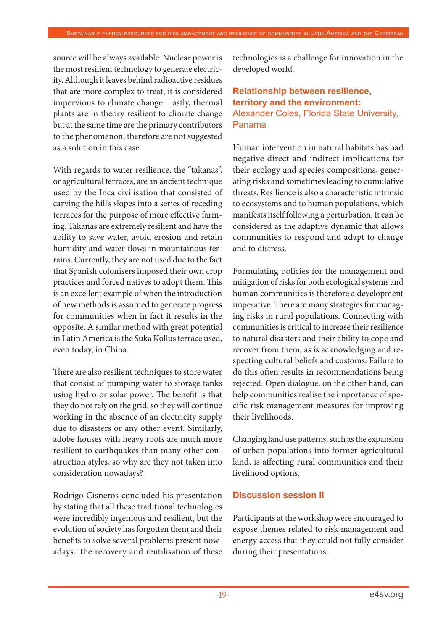source will be always available. Nuclear power is the most resilient technology to generate electricity. Although it leaves behind radioactive residues that are more complex to treat, it is considered impervious to climate change. Lastly, thermal plants are in theory resilient to climate change but at the same time are the primary contributors to the phenomenon, therefore are not suggested as a solution in this case.

With regards to water resilience, the "takanas", or agricultural terraces, are an ancient technique used by the Inca civilisation that consisted of carving the hill's slopes into a series of receding terraces for the purpose of more effective farming. Takanas are extremely resilient and have the ability to save water, avoid erosion and retain humidity and water flows in mountainous terrains. Currently, they are not used due to the fact that Spanish colonisers imposed their own crop practices and forced natives to adopt them. This is an excellent example of when the introduction of new methods is assumed to generate progress for communities when in fact it results in the opposite. A similar method with great potential in Latin America is the Suka Kollus terrace used, even today, in China.

There are also resilient techniques to store water that consist of pumping water to storage tanks using hydro or solar power. The benefit is that they do not rely on the grid, so they will continue working in the absence of an electricity supply due to disasters or any other event. Similarly, adobe houses with heavy roofs are much more resilient to earthquakes than many other construction styles, so why are they not taken into consideration nowadays?

Rodrigo Cisneros concluded his presentation by stating that all these traditional technologies were incredibly ingenious and resilient, but the evolution of society has forgotten them and their benefits to solve several problems present nowadays. The recovery and reutilisation of these technologies is a challenge for innovation in the developed world.

#### **Relationship between resilience, territory and the environment:**  Alexander Coles, Florida State University, Panama

Human intervention in natural habitats has had negative direct and indirect implications for their ecology and species compositions, generating risks and sometimes leading to cumulative threats. Resilience is also a characteristic intrinsic to ecosystems and to human populations, which manifests itself following a perturbation. It can be considered as the adaptive dynamic that allows communities to respond and adapt to change and to distress.

Formulating policies for the management and mitigation of risks for both ecological systems and human communities is therefore a development imperative. There are many strategies for managing risks in rural populations. Connecting with communities is critical to increase their resilience to natural disasters and their ability to cope and recover from them, as is acknowledging and respecting cultural beliefs and customs. Failure to do this often results in recommendations being rejected. Open dialogue, on the other hand, can help communities realise the importance of specific risk management measures for improving their livelihoods.

Changing land use patterns, such as the expansion of urban populations into former agricultural land, is affecting rural communities and their livelihood options.

#### **Discussion session II**

Participants at the workshop were encouraged to expose themes related to risk management and energy access that they could not fully consider during their presentations.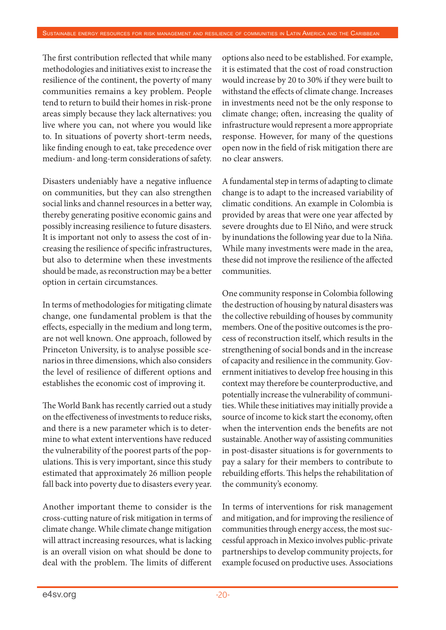The first contribution reflected that while many methodologies and initiatives exist to increase the resilience of the continent, the poverty of many communities remains a key problem. People tend to return to build their homes in risk-prone areas simply because they lack alternatives: you live where you can, not where you would like to. In situations of poverty short-term needs, like finding enough to eat, take precedence over medium- and long-term considerations of safety.

Disasters undeniably have a negative influence on communities, but they can also strengthen social links and channel resources in a better way, thereby generating positive economic gains and possibly increasing resilience to future disasters. It is important not only to assess the cost of increasing the resilience of specific infrastructures, but also to determine when these investments should be made, as reconstruction may be a better option in certain circumstances.

In terms of methodologies for mitigating climate change, one fundamental problem is that the effects, especially in the medium and long term, are not well known. One approach, followed by Princeton University, is to analyse possible scenarios in three dimensions, which also considers the level of resilience of different options and establishes the economic cost of improving it.

The World Bank has recently carried out a study on the effectiveness of investments to reduce risks, and there is a new parameter which is to determine to what extent interventions have reduced the vulnerability of the poorest parts of the populations. This is very important, since this study estimated that approximately 26 million people fall back into poverty due to disasters every year.

Another important theme to consider is the cross-cutting nature of risk mitigation in terms of climate change. While climate change mitigation will attract increasing resources, what is lacking is an overall vision on what should be done to deal with the problem. The limits of different

options also need to be established. For example, it is estimated that the cost of road construction would increase by 20 to 30% if they were built to withstand the effects of climate change. Increases in investments need not be the only response to climate change; often, increasing the quality of infrastructure would represent a more appropriate response. However, for many of the questions open now in the field of risk mitigation there are no clear answers.

A fundamental step in terms of adapting to climate change is to adapt to the increased variability of climatic conditions. An example in Colombia is provided by areas that were one year affected by severe droughts due to El Niño, and were struck by inundations the following year due to la Niña. While many investments were made in the area, these did not improve the resilience of the affected communities.

One community response in Colombia following the destruction of housing by natural disasters was the collective rebuilding of houses by community members. One of the positive outcomes is the process of reconstruction itself, which results in the strengthening of social bonds and in the increase of capacity and resilience in the community. Government initiatives to develop free housing in this context may therefore be counterproductive, and potentially increase the vulnerability of communities. While these initiatives may initially provide a source of income to kick start the economy, often when the intervention ends the benefits are not sustainable. Another way of assisting communities in post-disaster situations is for governments to pay a salary for their members to contribute to rebuilding efforts. This helps the rehabilitation of the community's economy.

In terms of interventions for risk management and mitigation, and for improving the resilience of communities through energy access, the most successful approach in Mexico involves public-private partnerships to develop community projects, for example focused on productive uses. Associations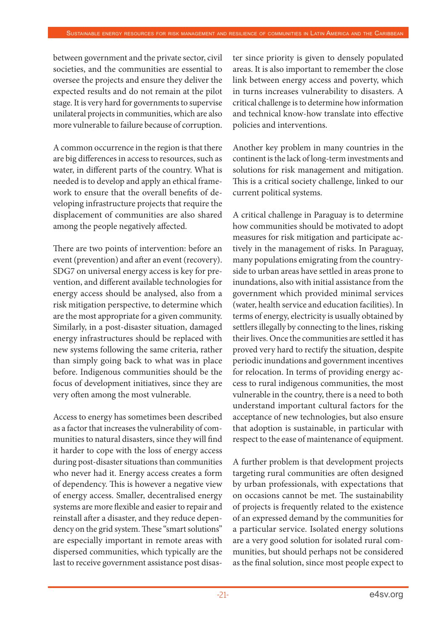between government and the private sector, civil societies, and the communities are essential to oversee the projects and ensure they deliver the expected results and do not remain at the pilot stage. It is very hard for governments to supervise unilateral projects in communities, which are also more vulnerable to failure because of corruption.

A common occurrence in the region is that there are big differences in access to resources, such as water, in different parts of the country. What is needed is to develop and apply an ethical framework to ensure that the overall benefits of developing infrastructure projects that require the displacement of communities are also shared among the people negatively affected.

There are two points of intervention: before an event (prevention) and after an event (recovery). SDG7 on universal energy access is key for prevention, and different available technologies for energy access should be analysed, also from a risk mitigation perspective, to determine which are the most appropriate for a given community. Similarly, in a post-disaster situation, damaged energy infrastructures should be replaced with new systems following the same criteria, rather than simply going back to what was in place before. Indigenous communities should be the focus of development initiatives, since they are very often among the most vulnerable.

Access to energy has sometimes been described as a factor that increases the vulnerability of communities to natural disasters, since they will find it harder to cope with the loss of energy access during post-disaster situations than communities who never had it. Energy access creates a form of dependency. This is however a negative view of energy access. Smaller, decentralised energy systems are more flexible and easier to repair and reinstall after a disaster, and they reduce dependency on the grid system. These "smart solutions" are especially important in remote areas with dispersed communities, which typically are the last to receive government assistance post disaster since priority is given to densely populated areas. It is also important to remember the close link between energy access and poverty, which in turns increases vulnerability to disasters. A critical challenge is to determine how information and technical know-how translate into effective policies and interventions.

Another key problem in many countries in the continent is the lack of long-term investments and solutions for risk management and mitigation. This is a critical society challenge, linked to our current political systems.

A critical challenge in Paraguay is to determine how communities should be motivated to adopt measures for risk mitigation and participate actively in the management of risks. In Paraguay, many populations emigrating from the countryside to urban areas have settled in areas prone to inundations, also with initial assistance from the government which provided minimal services (water, health service and education facilities). In terms of energy, electricity is usually obtained by settlers illegally by connecting to the lines, risking their lives. Once the communities are settled it has proved very hard to rectify the situation, despite periodic inundations and government incentives for relocation. In terms of providing energy access to rural indigenous communities, the most vulnerable in the country, there is a need to both understand important cultural factors for the acceptance of new technologies, but also ensure that adoption is sustainable, in particular with respect to the ease of maintenance of equipment.

A further problem is that development projects targeting rural communities are often designed by urban professionals, with expectations that on occasions cannot be met. The sustainability of projects is frequently related to the existence of an expressed demand by the communities for a particular service. Isolated energy solutions are a very good solution for isolated rural communities, but should perhaps not be considered as the final solution, since most people expect to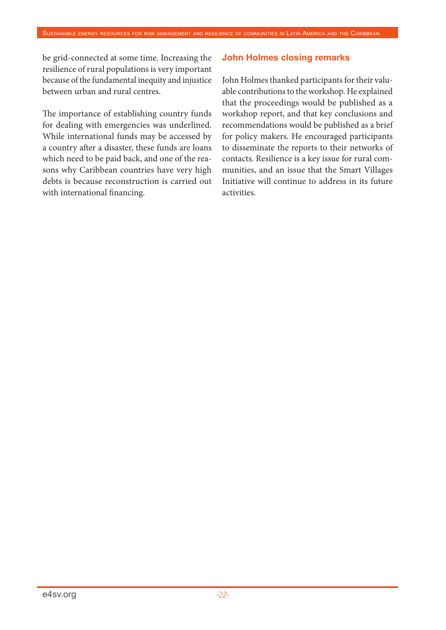be grid-connected at some time. Increasing the resilience of rural populations is very important because of the fundamental inequity and injustice between urban and rural centres.

The importance of establishing country funds for dealing with emergencies was underlined. While international funds may be accessed by a country after a disaster, these funds are loans which need to be paid back, and one of the reasons why Caribbean countries have very high debts is because reconstruction is carried out with international financing.

#### **John Holmes closing remarks**

John Holmes thanked participants for their valuable contributions to the workshop. He explained that the proceedings would be published as a workshop report, and that key conclusions and recommendations would be published as a brief for policy makers. He encouraged participants to disseminate the reports to their networks of contacts. Resilience is a key issue for rural communities, and an issue that the Smart Villages Initiative will continue to address in its future activities.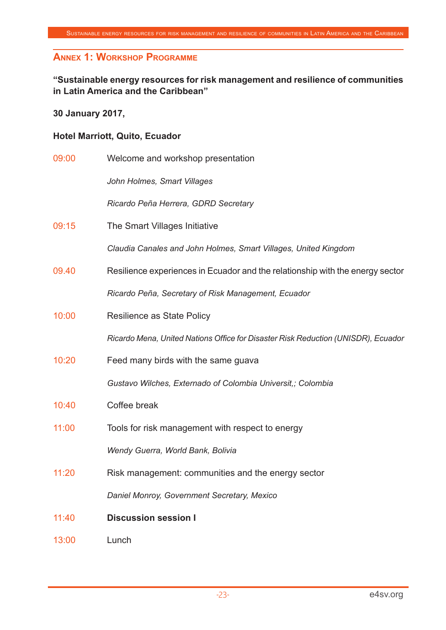## **Annex 1: Workshop Programme**

### **"Sustainable energy resources for risk management and resilience of communities in Latin America and the Caribbean"**

#### **30 January 2017,**

#### **Hotel Marriott, Quito, Ecuador**

| 09:00 | Welcome and workshop presentation                                                 |  |  |  |
|-------|-----------------------------------------------------------------------------------|--|--|--|
|       | John Holmes, Smart Villages                                                       |  |  |  |
|       | Ricardo Peña Herrera, GDRD Secretary                                              |  |  |  |
| 09:15 | The Smart Villages Initiative                                                     |  |  |  |
|       | Claudia Canales and John Holmes, Smart Villages, United Kingdom                   |  |  |  |
| 09.40 | Resilience experiences in Ecuador and the relationship with the energy sector     |  |  |  |
|       | Ricardo Peña, Secretary of Risk Management, Ecuador                               |  |  |  |
| 10:00 | Resilience as State Policy                                                        |  |  |  |
|       | Ricardo Mena, United Nations Office for Disaster Risk Reduction (UNISDR), Ecuador |  |  |  |
| 10:20 | Feed many birds with the same guava                                               |  |  |  |
|       | Gustavo Wilches, Externado of Colombia Universit,; Colombia                       |  |  |  |
| 10:40 | Coffee break                                                                      |  |  |  |
| 11:00 | Tools for risk management with respect to energy                                  |  |  |  |
|       | Wendy Guerra, World Bank, Bolivia                                                 |  |  |  |
| 11:20 | Risk management: communities and the energy sector                                |  |  |  |
|       | Daniel Monroy, Government Secretary, Mexico                                       |  |  |  |
| 11:40 | <b>Discussion session I</b>                                                       |  |  |  |
| 13:00 | Lunch                                                                             |  |  |  |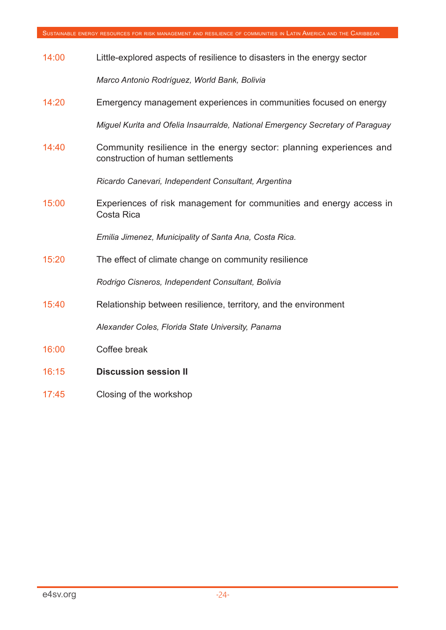| 14:00 | Little-explored aspects of resilience to disasters in the energy sector                                  |  |  |  |  |
|-------|----------------------------------------------------------------------------------------------------------|--|--|--|--|
|       | Marco Antonio Rodríguez, World Bank, Bolivia                                                             |  |  |  |  |
| 14:20 | Emergency management experiences in communities focused on energy                                        |  |  |  |  |
|       | Miguel Kurita and Ofelia Insaurralde, National Emergency Secretary of Paraguay                           |  |  |  |  |
| 14:40 | Community resilience in the energy sector: planning experiences and<br>construction of human settlements |  |  |  |  |
|       | Ricardo Canevari, Independent Consultant, Argentina                                                      |  |  |  |  |
| 15:00 | Experiences of risk management for communities and energy access in<br>Costa Rica                        |  |  |  |  |
|       | Emilia Jimenez, Municipality of Santa Ana, Costa Rica.                                                   |  |  |  |  |
| 15:20 | The effect of climate change on community resilience                                                     |  |  |  |  |
|       | Rodrigo Cisneros, Independent Consultant, Bolivia                                                        |  |  |  |  |
| 15:40 | Relationship between resilience, territory, and the environment                                          |  |  |  |  |
|       | Alexander Coles, Florida State University, Panama                                                        |  |  |  |  |
| 16:00 | Coffee break                                                                                             |  |  |  |  |
| 16:15 | <b>Discussion session II</b>                                                                             |  |  |  |  |

17:45 Closing of the workshop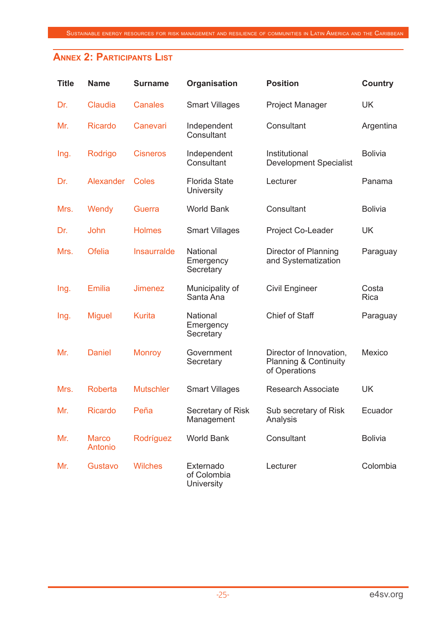## **Annex 2: Participants List**

| <b>Title</b> | <b>Name</b>             | <b>Surname</b>     | Organisation                              | <b>Position</b>                                                              | <b>Country</b> |
|--------------|-------------------------|--------------------|-------------------------------------------|------------------------------------------------------------------------------|----------------|
| Dr.          | Claudia                 | <b>Canales</b>     | <b>Smart Villages</b>                     | <b>Project Manager</b>                                                       | <b>UK</b>      |
| Mr.          | <b>Ricardo</b>          | Canevari           | Independent<br>Consultant                 | Consultant                                                                   | Argentina      |
| Ing.         | Rodrigo                 | <b>Cisneros</b>    | Independent<br>Consultant                 | Institutional<br><b>Development Specialist</b>                               | <b>Bolivia</b> |
| Dr.          | Alexander               | <b>Coles</b>       | <b>Florida State</b><br><b>University</b> | Lecturer                                                                     | Panama         |
| Mrs.         | Wendy                   | Guerra             | <b>World Bank</b>                         | Consultant                                                                   | <b>Bolivia</b> |
| Dr.          | John                    | <b>Holmes</b>      | <b>Smart Villages</b>                     | Project Co-Leader                                                            | <b>UK</b>      |
| Mrs.         | <b>Ofelia</b>           | <b>Insaurralde</b> | National<br>Emergency<br>Secretary        | Director of Planning<br>and Systematization                                  | Paraguay       |
| Ing.         | <b>Emilia</b>           | <b>Jimenez</b>     | Municipality of<br>Santa Ana              | <b>Civil Engineer</b>                                                        | Costa<br>Rica  |
| Ing.         | <b>Miguel</b>           | <b>Kurita</b>      | National<br>Emergency<br>Secretary        | <b>Chief of Staff</b>                                                        | Paraguay       |
| Mr.          | <b>Daniel</b>           | <b>Monroy</b>      | Government<br>Secretary                   | Director of Innovation,<br><b>Planning &amp; Continuity</b><br>of Operations | Mexico         |
| Mrs.         | Roberta                 | <b>Mutschler</b>   | <b>Smart Villages</b>                     | <b>Research Associate</b>                                                    | <b>UK</b>      |
| Mr.          | Ricardo                 | Peña               | Secretary of Risk<br>Management           | Sub secretary of Risk<br>Analysis                                            | Ecuador        |
| Mr.          | <b>Marco</b><br>Antonio | Rodríguez          | <b>World Bank</b>                         | Consultant                                                                   | <b>Bolivia</b> |
| Mr.          | Gustavo                 | <b>Wilches</b>     | Externado<br>of Colombia<br>University    | Lecturer                                                                     | Colombia       |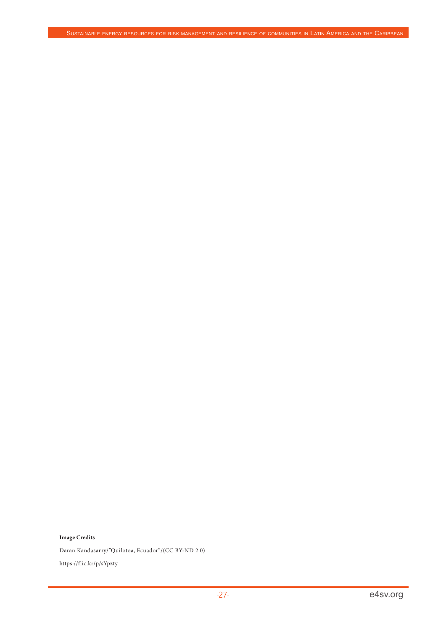#### **Image Credits**

Daran Kandasamy/"Quilotoa, Ecuador"/(CC BY-ND 2.0)

https://flic.kr/p/sYpzty